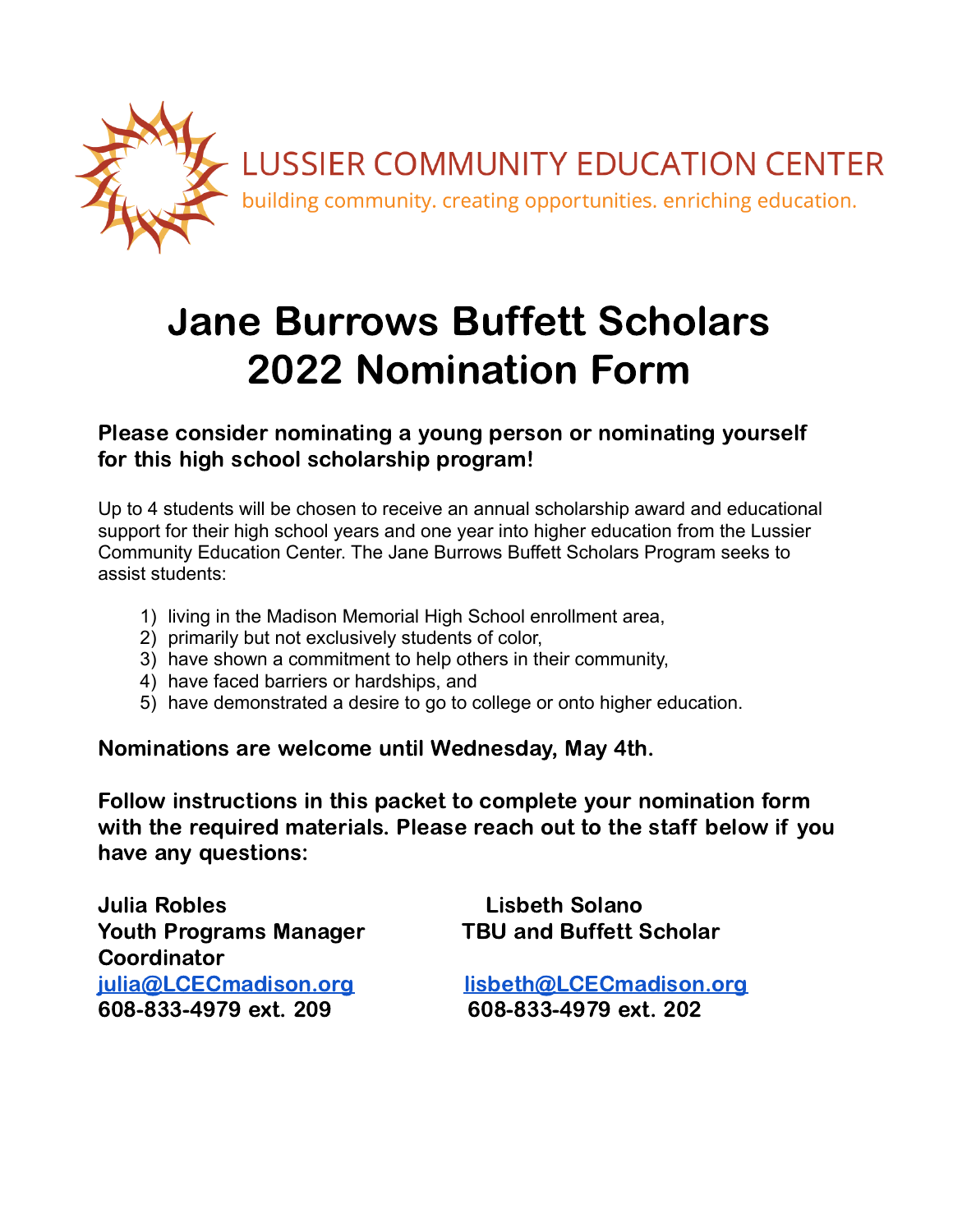

# Jane Burrows Buffett Scholars 2022 Nomination Form

Please consider nominating a young person or nominating yourself for this high school scholarship program!

Up to 4 students will be chosen to receive an annual scholarship award and educational support for their high school years and one year into higher education from the Lussier Community Education Center. The Jane Burrows Buffett Scholars Program seeks to assist students:

- 1) living in the Madison Memorial High School enrollment area,
- 2) primarily but not exclusively students of color,
- 3) have shown a commitment to help others in their community,
- 4) have faced barriers or hardships, and
- 5) have demonstrated a desire to go to college or onto higher education.

Nominations are welcome until Wednesday, May 4th.

Follow instructions in this packet to complete your nomination form with the required materials. Please reach out to the staff below if you have any questions:

Julia Robles Lisbeth Solano Youth Programs Manager TBU and Buffett Scholar **Coordinator** 608-833-4979 ext. 209 608-833-4979 ext. 202

[julia@LCECmadison.org](mailto:julia@LCECmadison.org) [lisbeth@LCECmadison.org](mailto:lisbeth@LCECmadison.org)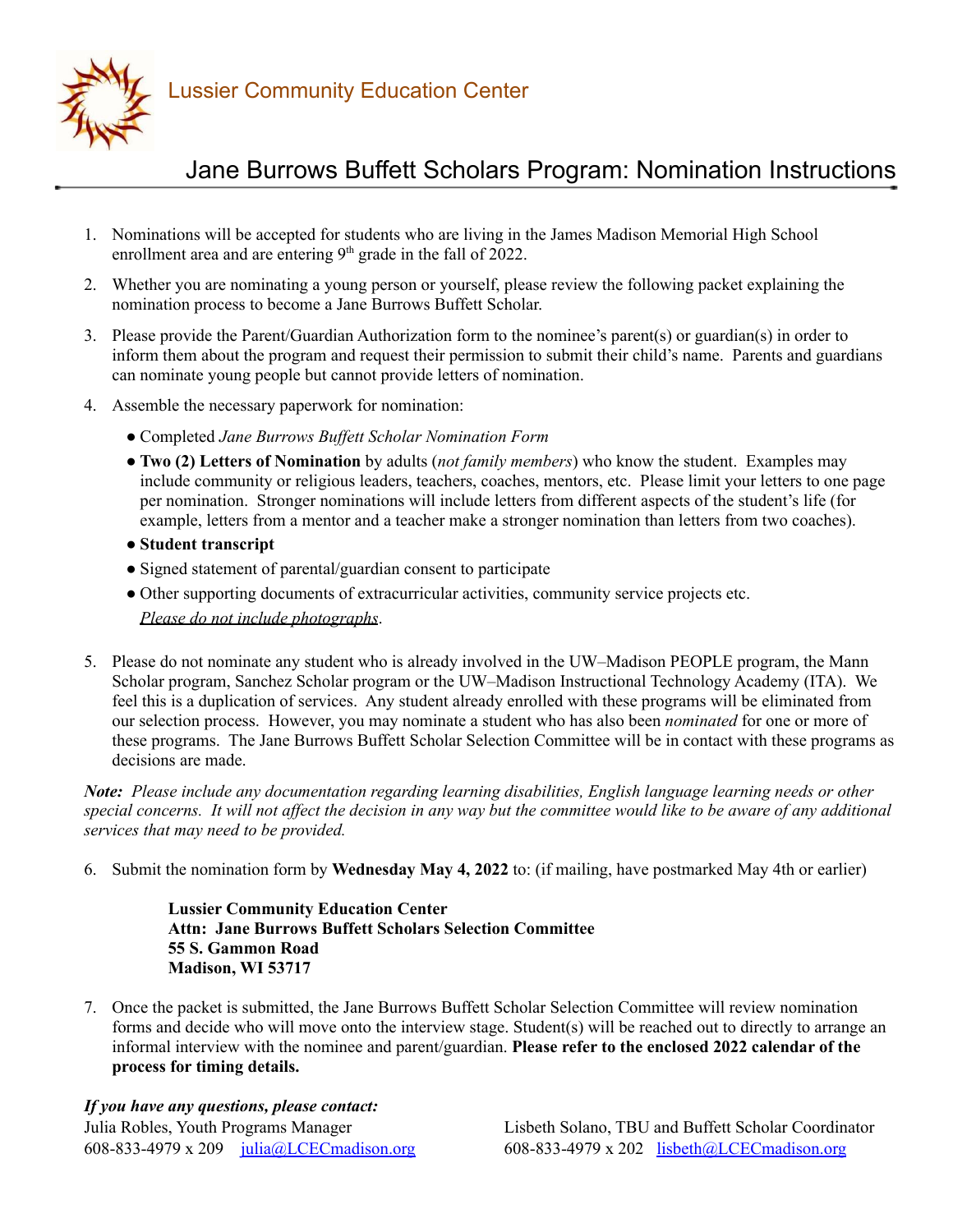

Lussier Community Education Center

## Jane Burrows Buffett Scholars Program: Nomination Instructions

- 1. Nominations will be accepted for students who are living in the James Madison Memorial High School enrollment area and are entering  $9<sup>th</sup>$  grade in the fall of 2022.
- 2. Whether you are nominating a young person or yourself, please review the following packet explaining the nomination process to become a Jane Burrows Buffett Scholar.
- 3. Please provide the Parent/Guardian Authorization form to the nominee's parent(s) or guardian(s) in order to inform them about the program and request their permission to submit their child's name. Parents and guardians can nominate young people but cannot provide letters of nomination.
- 4. Assemble the necessary paperwork for nomination:
	- Completed *Jane Burrows Buf ett Scholar Nomination Form*
	- **Two (2) Letters of Nomination** by adults (*not family members*) who know the student. Examples may include community or religious leaders, teachers, coaches, mentors, etc. Please limit your letters to one page per nomination. Stronger nominations will include letters from different aspects of the student's life (for example, letters from a mentor and a teacher make a stronger nomination than letters from two coaches).
	- **Student transcript**
	- Signed statement of parental/guardian consent to participate
	- Other supporting documents of extracurricular activities, community service projects etc. *Please do not include photographs*.
- 5. Please do not nominate any student who is already involved in the UW–Madison PEOPLE program, the Mann Scholar program, Sanchez Scholar program or the UW–Madison Instructional Technology Academy (ITA). We feel this is a duplication of services. Any student already enrolled with these programs will be eliminated from our selection process. However, you may nominate a student who has also been *nominated* for one or more of these programs. The Jane Burrows Buffett Scholar Selection Committee will be in contact with these programs as decisions are made.

*Note: Please include any documentation regarding learning disabilities, English language learning needs or other* special concerns. It will not affect the decision in any way but the committee would like to be aware of any additional *services that may need to be provided.*

6. Submit the nomination form by **Wednesday May 4, 2022** to: (if mailing, have postmarked May 4th or earlier)

**Lussier Community Education Center Attn: Jane Burrows Buffett Scholars Selection Committee 55 S. Gammon Road Madison, WI 53717**

7. Once the packet is submitted, the Jane Burrows Buffett Scholar Selection Committee will review nomination forms and decide who will move onto the interview stage. Student(s) will be reached out to directly to arrange an informal interview with the nominee and parent/guardian. **Please refer to the enclosed 2022 calendar of the process for timing details.**

*If you have any questions, please contact:*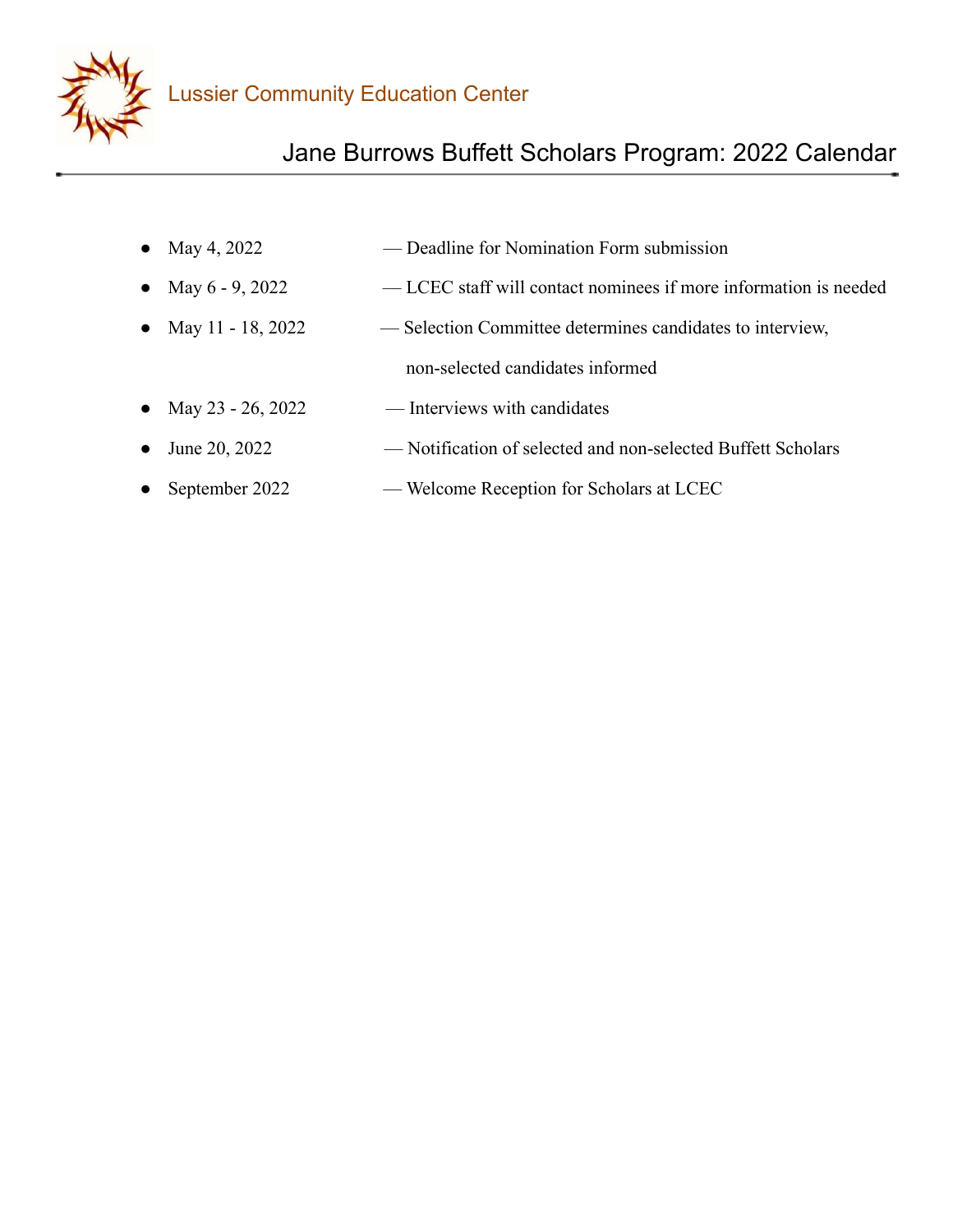

## Jane Burrows Buffett Scholars Program: 2022 Calendar

- May 4, 2022 Deadline for Nomination Form submission
- May 6 9, 2022 LCEC staff will contact nominees if more information is needed
- May 11 18, 2022 Selection Committee determines candidates to interview, non-selected candidates informed
- May  $23 26$ ,  $2022$  Interviews with candidates
- June 20, 2022 Notification of selected and non-selected Buffett Scholars
- September 2022 Welcome Reception for Scholars at LCEC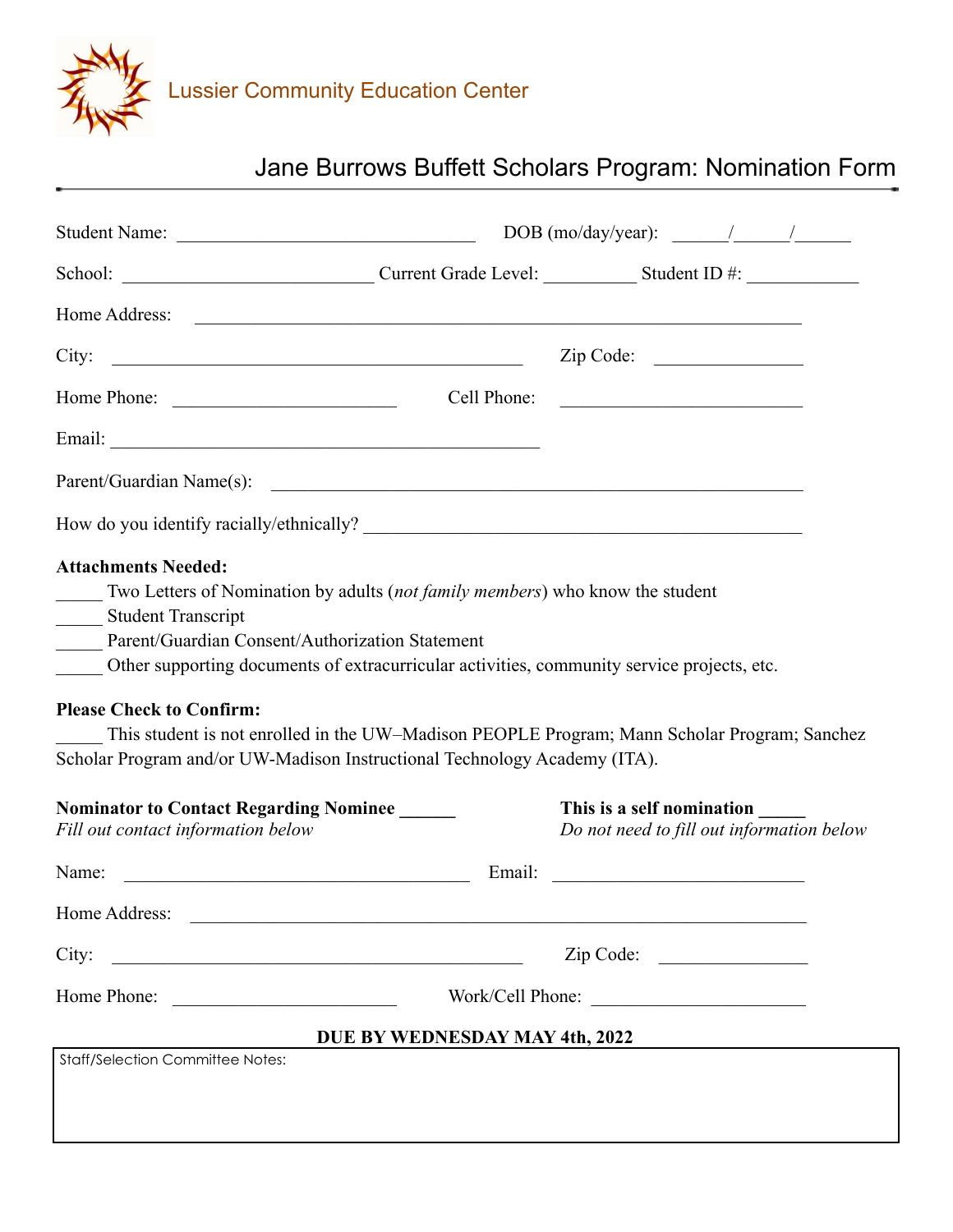

## Jane Burrows Buffett Scholars Program: Nomination Form

|                                                                                                                                                                                                                                                                                                                                                                                                | DOB (mo/day/year): $\frac{1}{\sqrt{1-\frac{1}{2}}}\frac{1}{\sqrt{1-\frac{1}{2}}}}$ |                                                             |                                           |  |
|------------------------------------------------------------------------------------------------------------------------------------------------------------------------------------------------------------------------------------------------------------------------------------------------------------------------------------------------------------------------------------------------|------------------------------------------------------------------------------------|-------------------------------------------------------------|-------------------------------------------|--|
|                                                                                                                                                                                                                                                                                                                                                                                                |                                                                                    |                                                             |                                           |  |
| Home Address:                                                                                                                                                                                                                                                                                                                                                                                  |                                                                                    |                                                             |                                           |  |
| City:<br><u> Alexandria de la contrada de la contrada de la contrada de la contrada de la contrada de la contrada de la c</u>                                                                                                                                                                                                                                                                  |                                                                                    | Zip Code:                                                   |                                           |  |
| Home Phone:                                                                                                                                                                                                                                                                                                                                                                                    | Cell Phone:                                                                        | <u> 2002 - Jan James James Barbara, president politik (</u> |                                           |  |
|                                                                                                                                                                                                                                                                                                                                                                                                |                                                                                    |                                                             |                                           |  |
| Parent/Guardian Name(s):                                                                                                                                                                                                                                                                                                                                                                       |                                                                                    |                                                             |                                           |  |
|                                                                                                                                                                                                                                                                                                                                                                                                |                                                                                    |                                                             |                                           |  |
| Two Letters of Nomination by adults (not family members) who know the student<br><b>Student Transcript</b><br>Parent/Guardian Consent/Authorization Statement<br>Other supporting documents of extracurricular activities, community service projects, etc.<br><b>Please Check to Confirm:</b><br>This student is not enrolled in the UW-Madison PEOPLE Program; Mann Scholar Program; Sanchez |                                                                                    |                                                             |                                           |  |
| Scholar Program and/or UW-Madison Instructional Technology Academy (ITA).                                                                                                                                                                                                                                                                                                                      |                                                                                    |                                                             |                                           |  |
| <b>Nominator to Contact Regarding Nominee</b><br>Fill out contact information below                                                                                                                                                                                                                                                                                                            |                                                                                    | This is a self nomination                                   | Do not need to fill out information below |  |
| Name:                                                                                                                                                                                                                                                                                                                                                                                          | Email:                                                                             | <u> 1986 - Johann Barn, mars ann an t-Amhainn an t-</u>     |                                           |  |
| Home Address:                                                                                                                                                                                                                                                                                                                                                                                  |                                                                                    |                                                             |                                           |  |
| City:<br><u> 1989 - Johann John Stone, mars and de Brasilian (b. 1989)</u>                                                                                                                                                                                                                                                                                                                     |                                                                                    | Zip Code:                                                   |                                           |  |
| Home Phone:<br><u> 1989 - Johann Barbara, martin amerikan</u>                                                                                                                                                                                                                                                                                                                                  |                                                                                    | Work/Cell Phone:                                            |                                           |  |
|                                                                                                                                                                                                                                                                                                                                                                                                | DUE BY WEDNESDAY MAY 4th, 2022                                                     |                                                             |                                           |  |
| <b>Staff/Selection Committee Notes:</b>                                                                                                                                                                                                                                                                                                                                                        |                                                                                    |                                                             |                                           |  |
|                                                                                                                                                                                                                                                                                                                                                                                                |                                                                                    |                                                             |                                           |  |
|                                                                                                                                                                                                                                                                                                                                                                                                |                                                                                    |                                                             |                                           |  |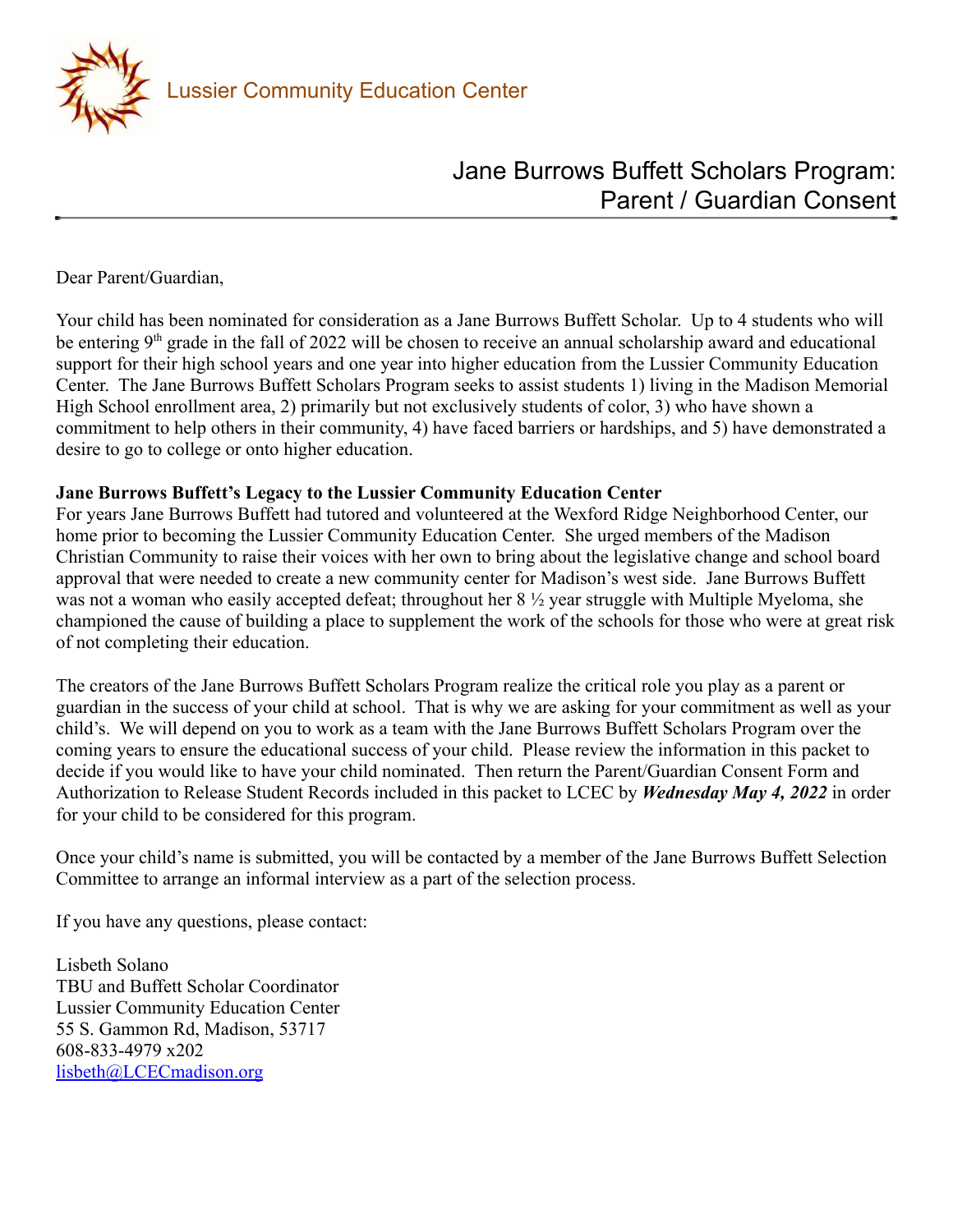

## Jane Burrows Buffett Scholars Program: Parent / Guardian Consent

Dear Parent/Guardian,

Your child has been nominated for consideration as a Jane Burrows Buffett Scholar. Up to 4 students who will be entering 9<sup>th</sup> grade in the fall of 2022 will be chosen to receive an annual scholarship award and educational support for their high school years and one year into higher education from the Lussier Community Education Center. The Jane Burrows Buffett Scholars Program seeks to assist students 1) living in the Madison Memorial High School enrollment area, 2) primarily but not exclusively students of color, 3) who have shown a commitment to help others in their community, 4) have faced barriers or hardships, and 5) have demonstrated a desire to go to college or onto higher education.

#### **Jane Burrows Buffett's Legacy to the Lussier Community Education Center**

For years Jane Burrows Buffett had tutored and volunteered at the Wexford Ridge Neighborhood Center, our home prior to becoming the Lussier Community Education Center. She urged members of the Madison Christian Community to raise their voices with her own to bring about the legislative change and school board approval that were needed to create a new community center for Madison's west side. Jane Burrows Buffett was not a woman who easily accepted defeat; throughout her 8 ½ year struggle with Multiple Myeloma, she championed the cause of building a place to supplement the work of the schools for those who were at great risk of not completing their education.

The creators of the Jane Burrows Buffett Scholars Program realize the critical role you play as a parent or guardian in the success of your child at school. That is why we are asking for your commitment as well as your child's. We will depend on you to work as a team with the Jane Burrows Buffett Scholars Program over the coming years to ensure the educational success of your child. Please review the information in this packet to decide if you would like to have your child nominated. Then return the Parent/Guardian Consent Form and Authorization to Release Student Records included in this packet to LCEC by *Wednesday May 4, 2022* in order for your child to be considered for this program.

Once your child's name is submitted, you will be contacted by a member of the Jane Burrows Buffett Selection Committee to arrange an informal interview as a part of the selection process.

If you have any questions, please contact:

Lisbeth Solano TBU and Buffett Scholar Coordinator Lussier Community Education Center 55 S. Gammon Rd, Madison, 53717 608-833-4979 x202 [lisbeth@LCECmadison.org](mailto:lisbeth@LCECmadison.org)